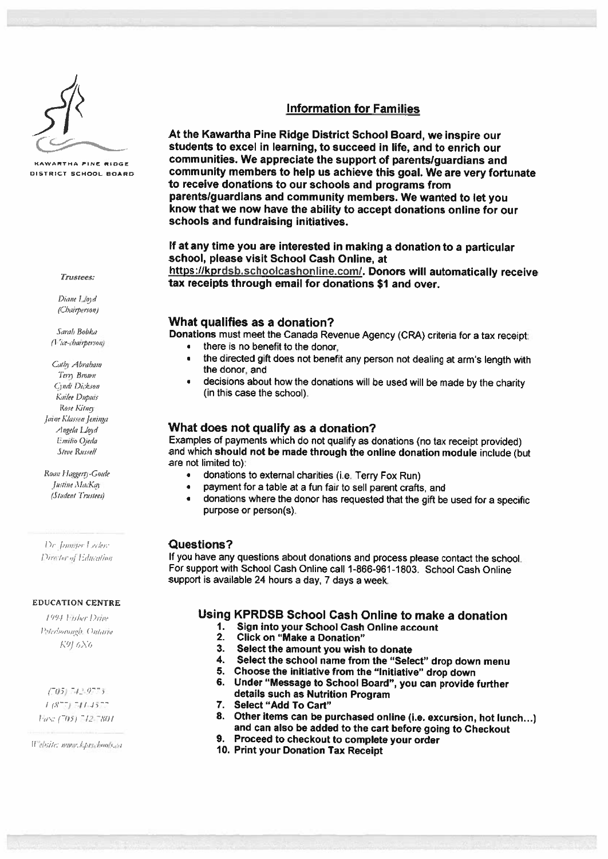

Diane Lloyd (Chairperson)

Rose Kitney Jaine Klassen Jeninga

 $[$ *ustine*  $\text{MacKay}$   $\qquad \qquad \bullet$ 

**Dr. Jennifer Lyder: Questions?** 

### EDUCATION CENTRE

- -,. -

Website: mmw.k.prschools.ca

# Information for Families

At the Kawartha Pine Ridge District School Board, we inspire our students to excel in learning, to succeed in life, and to enrich our KAWARTHA PINE RIDGE communities. We appreciate the support of parents/guardians and DISTRICT SCHOOL BOARD **community members to help us achieve this goal. We are very fortunate** to receive donations to our schools and programs from parents/guardians and community members. We wanted to let you know that we now have the ability to accept donations online for our schools and fundraising initiatives.

> If at any time you are interested in making <sup>a</sup> donation to <sup>a</sup> particular school, please visit School Cash Online, at

https://kprdsb.schoolcashonline.com/. Donors will automatically receive<br>tax receipts through email for donations \$1 and over.

# What qualifies as <sup>a</sup> donation?

Sarah Bobka<br>(*Vice-chairperson*) **Donations** must meet the Canada Revenue Agency (CRA) criteria for a tax receipt:

- there is no benefit to the donor,
- $\frac{C_{ally}A_{brabam}}{T_{enq}\ B_{rohm}}$  at arm's length with the donor, and I expansion is the donor, and I expansion is equal to Beyna, Beyna, Beyna, Beyna, Beyna, Beyna, Beyna, Beyna, Beyna, Beyna, Beyna, Beyna, Beyna, Beyna, Beyna
- $\frac{1}{\text{Cyldi}}$  Divertions about how the donations will be used will be made by the charity Kailee Dupuis

## $_{\textit{ideal}\_\textit{load}}$  and What does not qualify as a donation?

Emilio Ojeda **Examples of payments which do not qualify as donations (no tax receipt provided)**<br>Steve Russell **and which should not be made through the online donation module include (but** are not limited to):

- Roan Haggerty-Goede  **donations to external charities (i.e. Terry Fox Run)** 
	- *s*  $f$ *ustine MacKay*  **Subset to the set of the conduct of the set of the set of the set of the set of the set of the set of the set of the set of the set of the set of the set of the set of the set of the set of the s** 
		- donations where the donor has requested that the <sup>g</sup>ift be used for <sup>a</sup> specific purpose or person(s).

Director of Education **If you have any questions about donations and process please contact the school.** For support with School Cash Online call 1-866-961-1803. School Cash Online support is available <sup>24</sup> hours <sup>a</sup> day, <sup>7</sup> days <sup>a</sup> week.

# (994 False Drine  $\blacksquare$  Using KPRDSB School Cash Online to make a donation

- 1. Sign into your School Cash Online account
- 
- $P_{\text{2/erbound}}$  and  $P_{\text{2}}$  and  $P_{\text{2}}$  is  $P_{\text{2}}$  and  $P_{\text{2}}$   $P_{\text{2}}$   $P_{\text{2}}$   $P_{\text{2}}$   $P_{\text{2}}$   $P_{\text{2}}$   $P_{\text{2}}$   $P_{\text{2}}$   $P_{\text{2}}$   $P_{\text{2}}$   $P_{\text{2}}$   $P_{\text{2}}$   $P_{\text{2}}$   $P_{\text{2}}$   $P_{\text{2}}$   $P_{\text{2}}$   $P_{$ 
	- 4. Select the school name from the "Select" drop down menu
	- 5. Choose the initiative from the "Initiative" drop down
- **6.** Under "Message to School Board", you can provide further :  $(16)$ . The state of the state of the state of the state of the state of the state of the state of the state of the state of the state of the state of the sta  $L(9)$   $L(9)$   $L(4)$  of  $L(9)$  and  $L(8)$  and  $L(8)$  are  $L(8)$  and  $L(8)$  are  $L(8)$  and  $L(8)$  and  $L(8)$  are  $L(8)$  and  $L(8)$  and  $L(8)$  and  $L(8)$  and  $L(8)$  are  $L(8)$  and  $L(8)$  and  $L(8)$  and  $L(8)$  and  $L(8)$  and
	- 7. Select "Add To Cart"
	- 8. Other items can be purchased online (i.e. excursion, hot lunch...)<br>and can also be added to the cart before going to Checkout<br>9. Proceed to checkout to complete your order
	- 9. Proceed to checkout to complete your order 10. Print your Donation Tax Receipt
	-